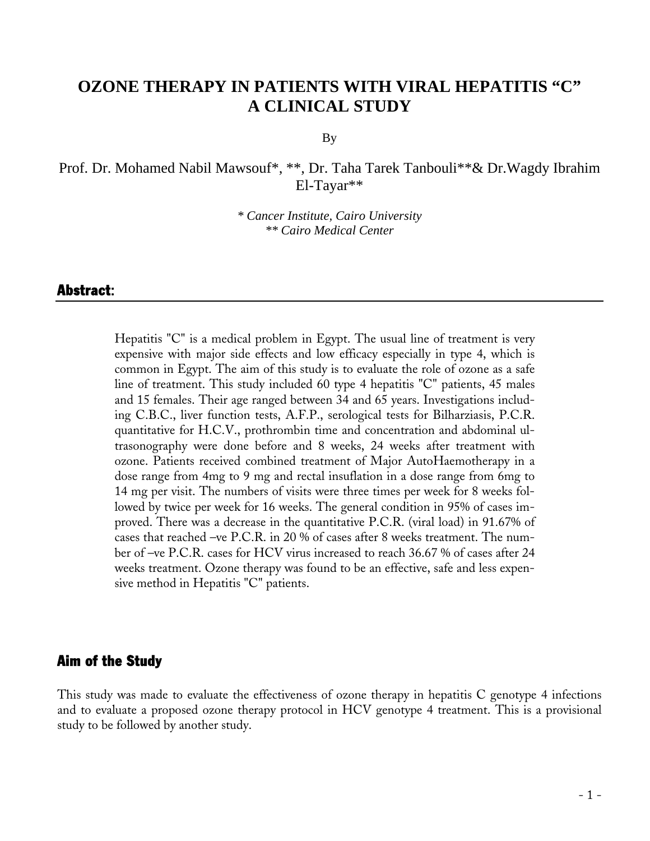# **OZONE THERAPY IN PATIENTS WITH VIRAL HEPATITIS "C" A CLINICAL STUDY**

By

Prof. Dr. Mohamed Nabil Mawsouf\*, \*\*, Dr. Taha Tarek Tanbouli\*\*& Dr.Wagdy Ibrahim El-Tayar\*\*

> *\* Cancer Institute, Cairo University \*\* Cairo Medical Center*

#### Abstract:

Hepatitis "C" is a medical problem in Egypt. The usual line of treatment is very expensive with major side effects and low efficacy especially in type 4, which is common in Egypt. The aim of this study is to evaluate the role of ozone as a safe line of treatment. This study included 60 type 4 hepatitis "C" patients, 45 males and 15 females. Their age ranged between 34 and 65 years. Investigations including C.B.C., liver function tests, A.F.P., serological tests for Bilharziasis, P.C.R. quantitative for H.C.V., prothrombin time and concentration and abdominal ultrasonography were done before and 8 weeks, 24 weeks after treatment with ozone. Patients received combined treatment of Major AutoHaemotherapy in a dose range from 4mg to 9 mg and rectal insuflation in a dose range from 6mg to 14 mg per visit. The numbers of visits were three times per week for 8 weeks followed by twice per week for 16 weeks. The general condition in 95% of cases improved. There was a decrease in the quantitative P.C.R. (viral load) in 91.67% of cases that reached –ve P.C.R. in 20 % of cases after 8 weeks treatment. The number of –ve P.C.R. cases for HCV virus increased to reach 36.67 % of cases after 24 weeks treatment. [Ozone therapy](http://www.austinozone.com) was found to be an effective, safe and less expensive method in Hepatitis "C" patients.

#### Aim of the Study

This study was made to evaluate the effectiveness of ozone therapy in hepatitis C genotype 4 infections and to evaluate a proposed ozone therapy protocol in HCV genotype 4 treatment. This is a provisional study to be followed by another study.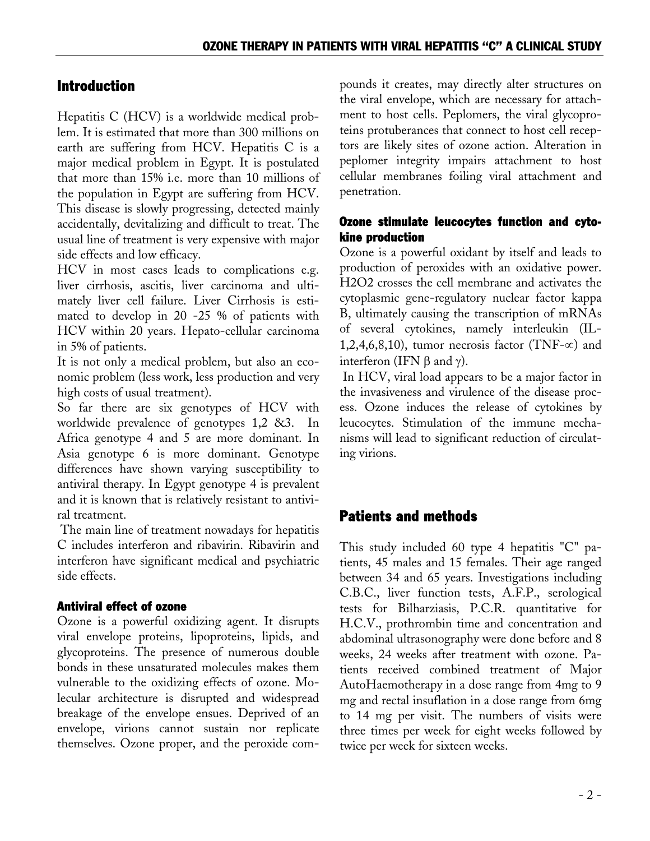## Introduction

Hepatitis C (HCV) is a worldwide medical problem. It is estimated that more than 300 millions on earth are suffering from HCV. Hepatitis C is a major medical problem in Egypt. It is postulated that more than 15% i.e. more than 10 millions of the population in Egypt are suffering from HCV. This disease is slowly progressing, detected mainly accidentally, devitalizing and difficult to treat. The usual line of treatment is very expensive with major side effects and low efficacy.

HCV in most cases leads to complications e.g. liver cirrhosis, ascitis, liver carcinoma and ultimately liver cell failure. Liver Cirrhosis is estimated to develop in 20 -25 % of patients with HCV within 20 years. Hepato-cellular carcinoma in 5% of patients.

It is not only a medical problem, but also an economic problem (less work, less production and very high costs of usual treatment).

So far there are six genotypes of HCV with worldwide prevalence of genotypes 1,2 &3. In Africa genotype 4 and 5 are more dominant. In Asia genotype 6 is more dominant. Genotype differences have shown varying susceptibility to antiviral therapy. In Egypt genotype 4 is prevalent and it is known that is relatively resistant to antiviral treatment.

The main line of treatment nowadays for hepatitis C includes interferon and ribavirin. Ribavirin and interferon have significant medical and psychiatric side effects.

### Antiviral effect of ozone

Ozone is a powerful oxidizing agent. It disrupts viral envelope proteins, lipoproteins, lipids, and glycoproteins. The presence of numerous double bonds in these unsaturated molecules makes them vulnerable to the oxidizing effects of ozone. Molecular architecture is disrupted and widespread breakage of the envelope ensues. Deprived of an envelope, virions cannot sustain nor replicate themselves. Ozone proper, and the peroxide compounds it creates, may directly alter structures on the viral envelope, which are necessary for attachment to host cells. Peplomers, the viral glycoproteins protuberances that connect to host cell receptors are likely sites of ozone action. Alteration in peplomer integrity impairs attachment to host cellular membranes foiling viral attachment and penetration.

### Ozone stimulate leucocytes function and cytokine production

Ozone is a powerful oxidant by itself and leads to production of peroxides with an oxidative power. H2O2 crosses the cell membrane and activates the cytoplasmic gene-regulatory nuclear factor kappa B, ultimately causing the transcription of mRNAs of several cytokines, namely interleukin (IL-1,2,4,6,8,10), tumor necrosis factor (TNF- $\infty$ ) and interferon (IFN  $\beta$  and γ).

In HCV, viral load appears to be a major factor in the invasiveness and virulence of the disease process. Ozone induces the release of cytokines by leucocytes. Stimulation of the immune mechanisms will lead to significant reduction of circulating virions.

# Patients and methods

This study included 60 type 4 hepatitis "C" patients, 45 males and 15 females. Their age ranged between 34 and 65 years. Investigations including C.B.C., liver function tests, A.F.P., serological tests for Bilharziasis, P.C.R. quantitative for H.C.V., prothrombin time and concentration and abdominal ultrasonography were done before and 8 weeks, 24 weeks after treatment with ozone. Patients received combined treatment of Major AutoHaemotherapy in a dose range from 4mg to 9 mg and rectal insuflation in a dose range from 6mg to 14 mg per visit. The numbers of visits were three times per week for eight weeks followed by twice per week for sixteen weeks.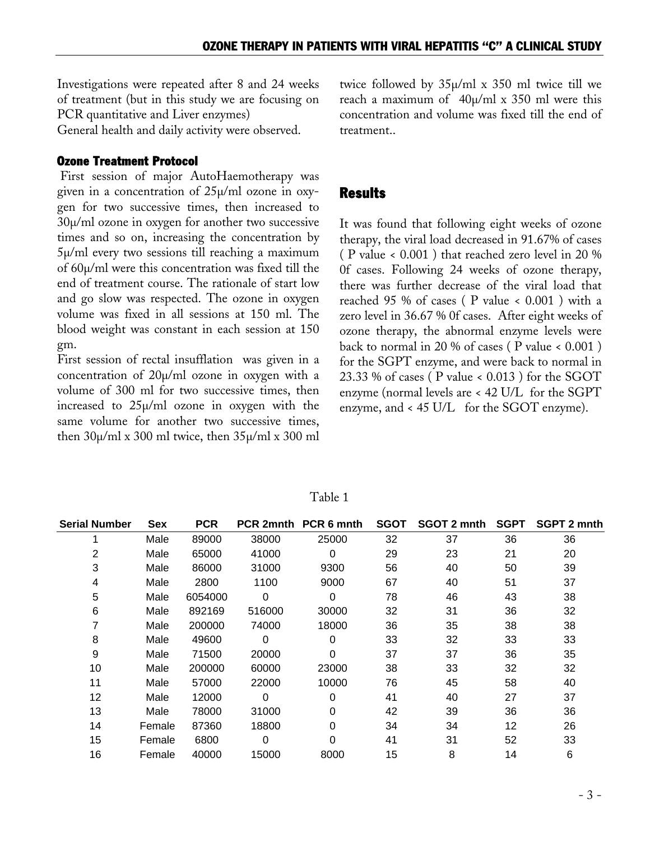Investigations were repeated after 8 and 24 weeks of treatment (but in this study we are focusing on PCR quantitative and Liver enzymes)

General health and daily activity were observed.

#### Ozone Treatment Protocol

First session of major AutoHaemotherapy was given in a concentration of 25µ/ml ozone in oxygen for two successive times, then increased to 30µ/ml ozone in oxygen for another two successive times and so on, increasing the concentration by 5µ/ml every two sessions till reaching a maximum of 60µ/ml were this concentration was fixed till the end of treatment course. The rationale of start low and go slow was respected. The ozone in oxygen volume was fixed in all sessions at 150 ml. The blood weight was constant in each session at 150 gm.

First session of rectal insufflation was given in a concentration of 20µ/ml ozone in oxygen with a volume of 300 ml for two successive times, then increased to 25µ/ml ozone in oxygen with the same volume for another two successive times, then  $30\mu$ /ml x 300 ml twice, then  $35\mu$ /ml x 300 ml

twice followed by 35µ/ml x 350 ml twice till we reach a maximum of  $40\mu$ /ml x 350 ml were this concentration and volume was fixed till the end of treatment..

### **Results**

It was found that following eight weeks of ozone therapy, the viral load decreased in 91.67% of cases ( P value < 0.001 ) that reached zero level in 20 % 0f cases. Following 24 weeks of [ozone therapy,](http://www.ozonemachine.org) there was further decrease of the viral load that reached 95 % of cases ( $P$  value < 0.001) with a zero level in 36.67 % 0f cases. After eight weeks of ozone therapy, the abnormal enzyme levels were back to normal in 20 % of cases ( $P$  value  $\leq 0.001$ ) for the SGPT enzyme, and were back to normal in 23.33 % of cases ( P value < 0.013 ) for the SGOT enzyme (normal levels are < 42 U/L for the SGPT enzyme, and < 45 U/L for the SGOT enzyme).

| <b>Serial Number</b> | <b>Sex</b> | <b>PCR</b> |        | PCR 2mnth PCR 6 mnth | <b>SGOT</b> | SGOT 2 mnth | <b>SGPT</b> | <b>SGPT 2 mnth</b> |
|----------------------|------------|------------|--------|----------------------|-------------|-------------|-------------|--------------------|
|                      | Male       | 89000      | 38000  | 25000                | 32          | 37          | 36          | 36                 |
| 2                    | Male       | 65000      | 41000  | 0                    | 29          | 23          | 21          | 20                 |
| 3                    | Male       | 86000      | 31000  | 9300                 | 56          | 40          | 50          | 39                 |
| 4                    | Male       | 2800       | 1100   | 9000                 | 67          | 40          | 51          | 37                 |
| 5                    | Male       | 6054000    | 0      | 0                    | 78          | 46          | 43          | 38                 |
| 6                    | Male       | 892169     | 516000 | 30000                | 32          | 31          | 36          | 32                 |
|                      | Male       | 200000     | 74000  | 18000                | 36          | 35          | 38          | 38                 |
| 8                    | Male       | 49600      | 0      | 0                    | 33          | 32          | 33          | 33                 |
| 9                    | Male       | 71500      | 20000  | 0                    | 37          | 37          | 36          | 35                 |
| 10                   | Male       | 200000     | 60000  | 23000                | 38          | 33          | 32          | 32                 |
| 11                   | Male       | 57000      | 22000  | 10000                | 76          | 45          | 58          | 40                 |
| 12                   | Male       | 12000      | 0      | 0                    | 41          | 40          | 27          | 37                 |
| 13                   | Male       | 78000      | 31000  | 0                    | 42          | 39          | 36          | 36                 |
| 14                   | Female     | 87360      | 18800  | 0                    | 34          | 34          | 12          | 26                 |
| 15                   | Female     | 6800       | 0      | 0                    | 41          | 31          | 52          | 33                 |
| 16                   | Female     | 40000      | 15000  | 8000                 | 15          | 8           | 14          | 6                  |

Table 1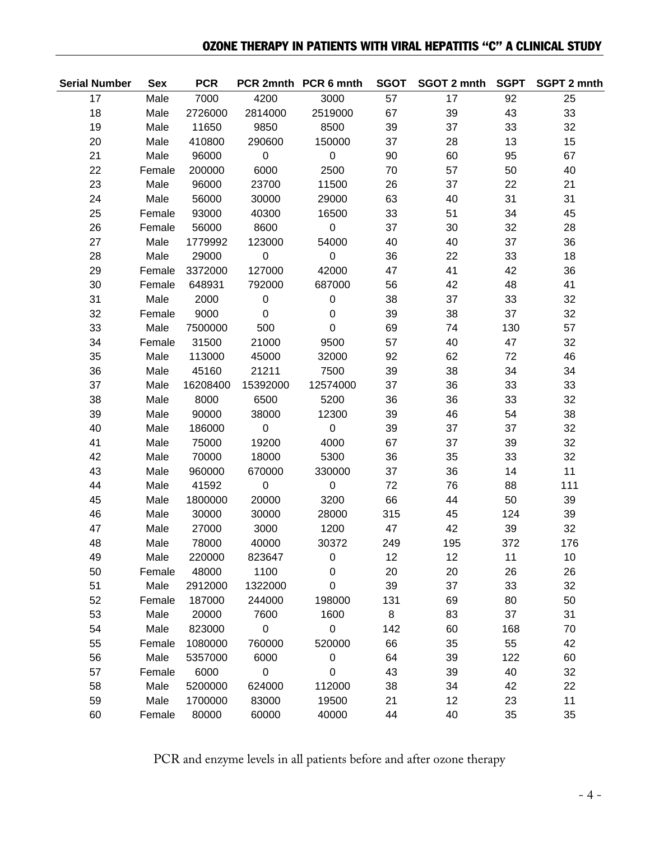### OZONE THERAPY IN PATIENTS WITH VIRAL HEPATITIS "C" A CLINICAL STUDY

| <b>Serial Number</b> | <b>Sex</b> | <b>PCR</b> |                     | PCR 2mnth PCR 6 mnth | <b>SGOT</b> | SGOT 2 mnth SGPT |     | <b>SGPT 2 mnth</b> |
|----------------------|------------|------------|---------------------|----------------------|-------------|------------------|-----|--------------------|
| 17                   | Male       | 7000       | 4200                | 3000                 | 57          | 17               | 92  | 25                 |
| 18                   | Male       | 2726000    | 2814000             | 2519000              | 67          | 39               | 43  | 33                 |
| 19                   | Male       | 11650      | 9850                | 8500                 | 39          | 37               | 33  | 32                 |
| 20                   | Male       | 410800     | 290600              | 150000               | 37          | 28               | 13  | 15                 |
| 21                   | Male       | 96000      | $\mathsf 0$         | $\pmb{0}$            | 90          | 60               | 95  | 67                 |
| 22                   | Female     | 200000     | 6000                | 2500                 | 70          | 57               | 50  | 40                 |
| 23                   | Male       | 96000      | 23700               | 11500                | 26          | 37               | 22  | 21                 |
| 24                   | Male       | 56000      | 30000               | 29000                | 63          | 40               | 31  | 31                 |
| 25                   | Female     | 93000      | 40300               | 16500                | 33          | 51               | 34  | 45                 |
| 26                   | Female     | 56000      | 8600                | $\pmb{0}$            | 37          | 30               | 32  | 28                 |
| 27                   | Male       | 1779992    | 123000              | 54000                | 40          | 40               | 37  | 36                 |
| 28                   | Male       | 29000      | $\pmb{0}$           | $\mathbf 0$          | 36          | 22               | 33  | 18                 |
| 29                   | Female     | 3372000    | 127000              | 42000                | 47          | 41               | 42  | 36                 |
| 30                   | Female     | 648931     | 792000              | 687000               | 56          | 42               | 48  | 41                 |
| 31                   | Male       | 2000       | $\mathbf 0$         | $\pmb{0}$            | 38          | 37               | 33  | 32                 |
| 32                   | Female     | 9000       | $\mathbf 0$         | $\pmb{0}$            | 39          | 38               | 37  | 32                 |
| 33                   | Male       | 7500000    | 500                 | $\pmb{0}$            | 69          | 74               | 130 | 57                 |
| 34                   | Female     | 31500      | 21000               | 9500                 | 57          | 40               | 47  | 32                 |
| 35                   | Male       | 113000     | 45000               | 32000                | 92          | 62               | 72  | 46                 |
| 36                   | Male       | 45160      | 21211               | 7500                 | 39          | 38               | 34  | 34                 |
| 37                   | Male       | 16208400   | 15392000            | 12574000             | 37          | 36               | 33  | 33                 |
| 38                   | Male       | 8000       | 6500                | 5200                 | 36          | 36               | 33  | 32                 |
| 39                   | Male       | 90000      | 38000               | 12300                | 39          | 46               | 54  | 38                 |
| 40                   | Male       | 186000     | $\pmb{0}$           | $\pmb{0}$            | 39          | 37               | 37  | 32                 |
| 41                   | Male       | 75000      | 19200               | 4000                 | 67          | 37               | 39  | 32                 |
| 42                   | Male       | 70000      | 18000               | 5300                 | 36          | 35               | 33  | 32                 |
| 43                   | Male       | 960000     | 670000              | 330000               | 37          | 36               | 14  | 11                 |
| 44                   | Male       | 41592      | $\mathbf 0$         | $\pmb{0}$            | 72          | 76               | 88  | 111                |
| 45                   | Male       | 1800000    | 20000               | 3200                 | 66          | 44               | 50  | 39                 |
| 46                   | Male       | 30000      | 30000               | 28000                | 315         | 45               | 124 | 39                 |
| 47                   | Male       | 27000      | 3000                | 1200                 | 47          | 42               | 39  | 32                 |
| 48                   | Male       | 78000      | 40000               | 30372                | 249         | 195              | 372 | 176                |
| 49                   | Male       | 220000     | 823647              | 0                    | 12          | 12               | 11  | 10                 |
| 50                   | Female     | 48000      | 1100                | 0                    | 20          | 20               | 26  | 26                 |
| 51                   | Male       | 2912000    | 1322000             | 0                    | 39          | 37               | 33  | 32                 |
| 52                   | Female     | 187000     | 244000              | 198000               | 131         | 69               | 80  | 50                 |
| 53                   | Male       | 20000      | 7600                | 1600                 | 8           | 83               | 37  | 31                 |
| 54                   | Male       | 823000     | $\pmb{0}$           | $\boldsymbol{0}$     | 142         | 60               | 168 | 70                 |
| 55                   | Female     | 1080000    | 760000              | 520000               | 66          | 35               | 55  | 42                 |
| 56                   | Male       | 5357000    | 6000                | $\pmb{0}$            | 64          | 39               | 122 | 60                 |
| 57                   | Female     | 6000       | $\mathsf{O}\xspace$ | $\boldsymbol{0}$     | 43          | 39               | 40  | 32                 |
| 58                   | Male       | 5200000    | 624000              | 112000               | 38          | 34               | 42  | 22                 |
| 59                   | Male       | 1700000    | 83000               | 19500                | 21          | 12               | 23  | 11                 |
| 60                   | Female     | 80000      | 60000               | 40000                | 44          | 40               | 35  | 35                 |

PCR and enzyme levels in all patients before and after ozone therapy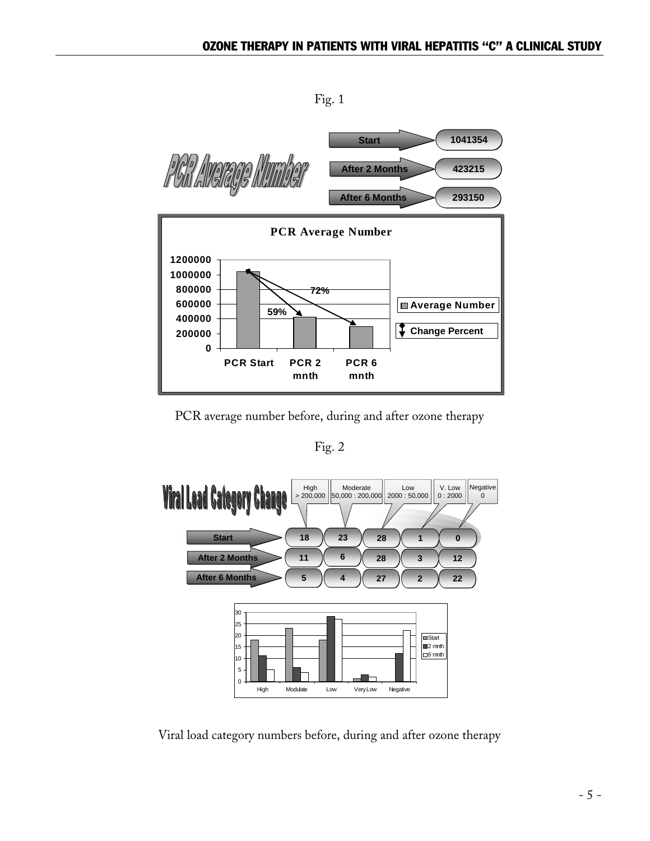Fig. 1



PCR average number before, during and after ozone therapy

Fig. 2



Viral load category numbers before, during and after ozone therapy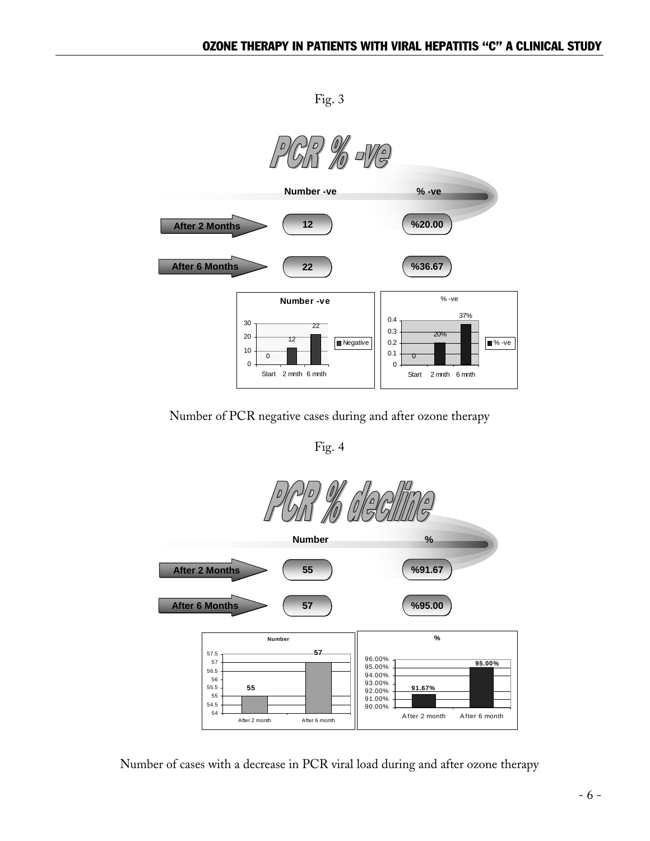Fig. 3



Number of PCR negative cases during and after ozone therapy

Fig. 4



Number of cases with a decrease in PCR viral load during and after ozone therapy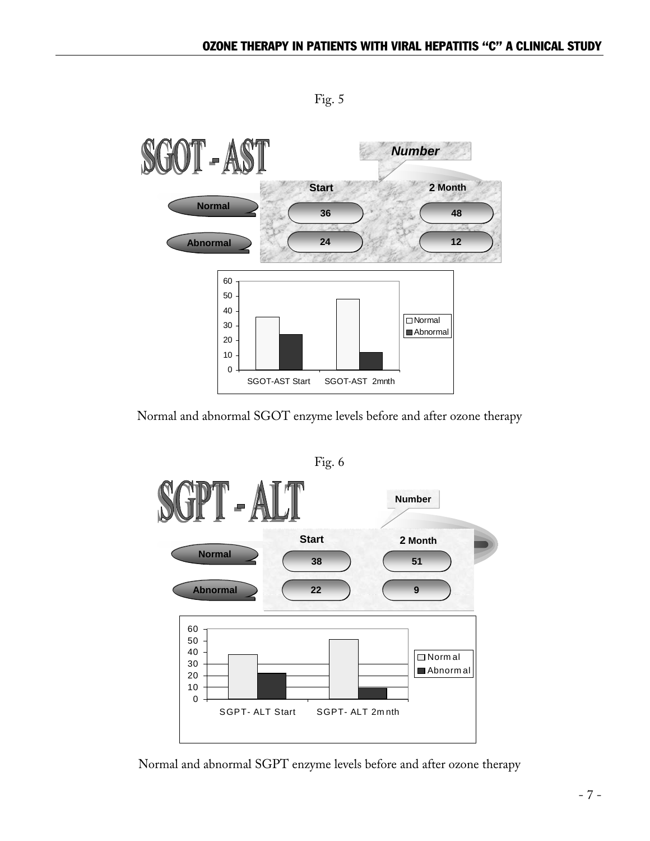OT - AST *Number* **Start 2 Month Normal 36 48 12 Abnormal 24** 60 50 40 **Normal** 30 Abnormal 20 10 0 SGOT-AST Start SGOT-AST 2mnth

Fig. 5

Normal and abnormal SGOT enzyme levels before and after ozone therapy



Normal and abnormal SGPT enzyme levels before and after ozone therapy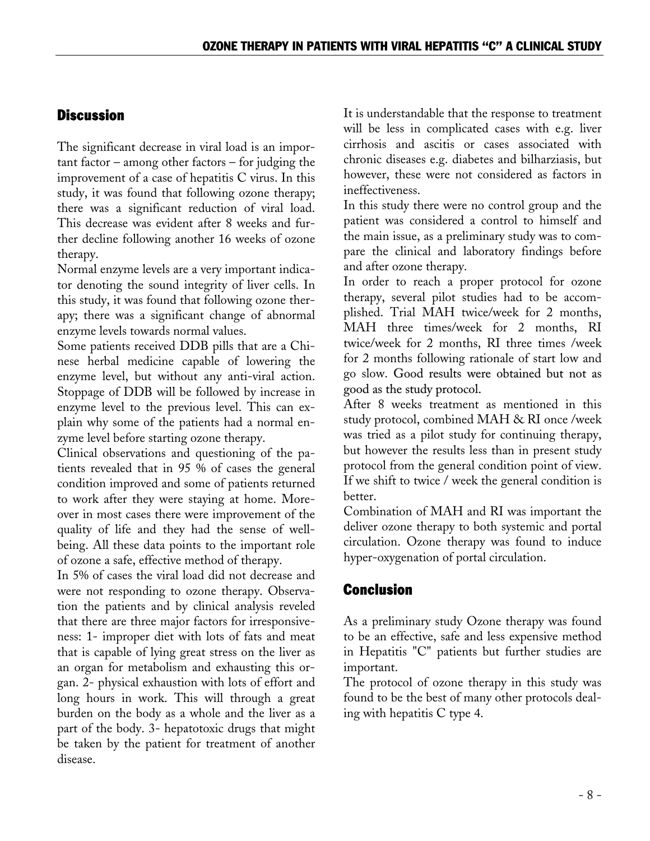## Discussion

The significant decrease in viral load is an impor- $\text{tant factor}$  – among other factors – for judging the improvement of a case of hepatitis C virus. In this study, it was found that following ozone therapy; there was a significant reduction of viral load. This decrease was evident after 8 weeks and further decline following another 16 weeks of ozone therapy.

Normal enzyme levels are a very important indicator denoting the sound integrity of liver cells. In this study, it was found that following ozone therapy; there was a significant change of abnormal enzyme levels towards normal values.

Some patients received DDB pills that are a Chinese herbal medicine capable of lowering the enzyme level, but without any anti-viral action. Stoppage of DDB will be followed by increase in enzyme level to the previous level. This can explain why some of the patients had a normal enzyme level before starting ozone therapy.

Clinical observations and questioning of the patients revealed that in 95 % of cases the general condition improved and some of patients returned to work after they were staying at home. Moreover in most cases there were improvement of the quality of life and they had the sense of wellbeing. All these data points to the important role of ozone a safe, effective method of therapy.

In 5% of cases the viral load did not decrease and were not responding to ozone therapy. Observation the patients and by clinical analysis reveled that there are three major factors for irresponsiveness: 1- improper diet with lots of fats and meat that is capable of lying great stress on the liver as an organ for metabolism and exhausting this organ. 2- physical exhaustion with lots of effort and long hours in work. This will through a great burden on the body as a whole and the liver as a part of the body. 3- hepatotoxic drugs that might be taken by the patient for treatment of another disease.

It is understandable that the response to treatment will be less in complicated cases with e.g. liver cirrhosis and ascitis or cases associated with chronic diseases e.g. diabetes and bilharziasis, but however, these were not considered as factors in ineffectiveness.

In this study there were no control group and the patient was considered a control to himself and the main issue, as a preliminary study was to compare the clinical and laboratory findings before and after ozone therapy.

In order to reach a proper protocol for ozone therapy, several pilot studies had to be accomplished. Trial MAH twice/week for 2 months, MAH three times/week for 2 months, RI twice/week for 2 months, RI three times /week for 2 months following rationale of start low and go slow. Good results were obtained but not as good as the study protocol.

After 8 weeks treatment as mentioned in this study protocol, combined MAH & RI once /week was tried as a pilot study for continuing therapy, but however the results less than in present study protocol from the general condition point of view. If we shift to twice / week the general condition is better.

Combination of MAH and RI was important the deliver ozone therapy to both systemic and portal circulation. Ozone therapy was found to induce hyper-oxygenation of portal circulation.

# Conclusion

As a preliminary study Ozone therapy was found to be an effective, safe and less expensive method in Hepatitis "C" patients but further studies are important.

The protocol of ozone therapy in this study was found to be the best of many other protocols dealing with hepatitis C type 4.